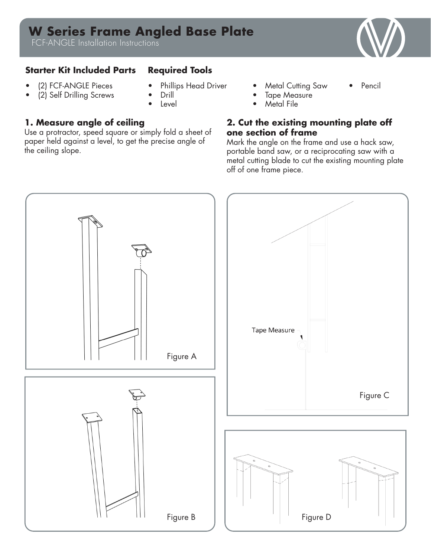# **W Series Frame Angled Base Plate**

FCF-ANGLE Installation Instructions

### **Starter Kit Included Parts Required Tools**

- (2) FCF-ANGLE Pieces
- (2) Self Drilling Screws
- Phillips Head Driver
- Drill
- **Level**

# **1. Measure angle of ceiling**

Use a protractor, speed square or simply fold a sheet of paper held against a level, to get the precise angle of the ceiling slope.

- **Metal Cutting Saw**
- Pencil
- **Tape Measure**
- **Metal File**

### **2. Cut the existing mounting plate off one section of frame**

Mark the angle on the frame and use a hack saw, portable band saw, or a reciprocating saw with a metal cutting blade to cut the existing mounting plate off of one frame piece.